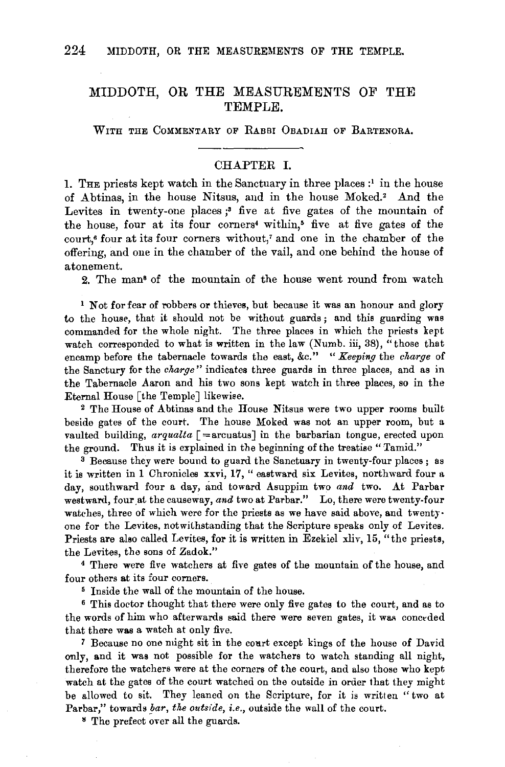## MIDDOTH, OR THE MEASUREMENTS OF THE TEMPLE.

WITH THE COMMENTARY OF RABBI OBADIAH OF BARTENORA.

## CHAPTER I.

. THE priests kept watch in the Sanctuary in three places  $:$  in the house of Abtinas, in the house Nitsus, and in the house Moked.<sup>2</sup> And the Levites in twenty-one places;<sup>3</sup> five at five gates of the mountain of the house, four at its four corners4 within,• five at five gates of the court,• four at its four corners without,' and one in the chamber of the offering, and one in the chamber of the vail, and one behind the house of atonement.

2. The man• of the mountain of the house went round from watch

<sup>1</sup> Not for fear of robbers or thieves, but because it was an honour and glory to the house, that it should not be without guards; and this guarding was commanded for the whole night. The three places in which the priests kept watch corresponded to what is written in the law (Numb. iii, 38), "those that encamp before the tabernacle towards the east, &c." " *Keeping* the *charge* of the Sanctury for the *charge"* indicates three guards in three places, and as in the Tabernacle Aaron and his two sons kept watch in three places, so in the Eternal House [the Temple] likewiee.

2 The House of Abtinas and the Home Nitsus were two upper rooms built beside gates of the court. The house Moked was not an upper room, but a vaulted building,  $arqualta$   $\lceil = \arctan \rceil$  in the barbarian tongue, erected upon the ground. Thus it is explained in the beginning of the treatise "Tamid."

<sup>3</sup> Because they were bound to guard the Sanctuary in twenty-four places; as it is written in 1 Chronicles xxvi, 17, " eastward six Levites, northward four a day, southward four a day, and toward Asuppim two *and* two. At Parbar westward, four at the causeway, and two at Parbar." Lo, there were twenty-four watches, three of which were for the priests as we have said above, and twentyone for the Levites, notwithstanding that the Scripture speaks only of Levites. Priests are also called Levites, for it is written in Ezekiel xliv, 15, "the priests, the Levites, the sons of Zadok."

4 There were five watchers at five gates of the mountain of the house, and four others at its four corners.

5 Inside the wall of the mountain of the house.

6 This doctor thought that there were only five gates to the court, and as to the words of him who afterwards said there were seven gates, it was conceded that there was a watch at only five.

7 Because no one might sit in the court except kings of the house of David only, and it was not possible for the watchers to watch standing all night, therefore the watchers were at the corners of the court, and also those who kept watch at the gates of the court watched on the outside in order that they might be allowed to sit. They leaned on the Scripture, for it is written " two at Parbar," towards *bar, the outside, i.e.,* outside the wall of the court.

" The prefect over all the guards.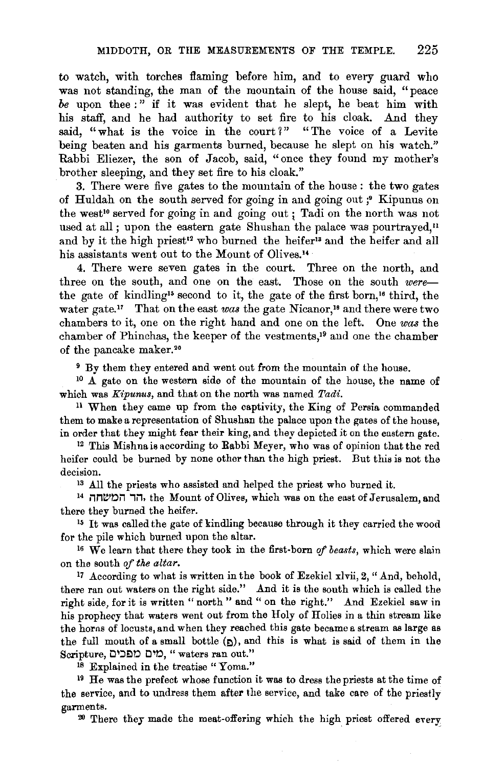to watch, with torches flaming before him, and to every guard who was not standing, the man of the mountain of the house said, "peace be upon thee :" if it was evident that he slept, he beat him with his staff, and he had authority to set fire to his cloak. And they said, "what is the voice in the court?" "The voice of a Levite being beaten and his garments burned, because he slept on his watch." Rabbi Eliezer, the son of Jacob, said, "once they found my mother's brother sleeping, and they set fire to his cloak."

3. There were five gates to the mountain of the house : the two gates of Huldah on the south served for going in and going out ;• Kipunus on the west<sup>10</sup> served for going in and going out; Tadi on the north was not used at all; upon the eastern gate Shushan the palace was pourtrayed," and by it the high priest<sup>12</sup> who burned the heifer<sup>13</sup> and the heifer and all his assistants went out to the Mount of Olives.<sup>14</sup>

4. There were seven gates in the court. Three on the north, and three on the south, and one on the east. Those on the south *were*the gate of kindling<sup>15</sup> second to it, the gate of the first born,<sup>16</sup> third, the water gate.<sup>17</sup> That on the east was the gate Nicanor,<sup>18</sup> and there were two chambers to it, one on the right hand and one on the left. One *was* the chamber of Phinchas, the keeper of the vestments,<sup>19</sup> and one the chamber of the pancake maker. 20

<sup>9</sup> By them they entered and went out from the mountain of the house.  $10 \text{ A}$  gate on the western side of the mountain of the house, the name of

which was *Kipunus,* and that on the north was named *Tadi.* 

<sup>11</sup>When they came up from the captivity, the King of Persia commanded them to make a representation of Shushan the palace upon the gates of the house, in order that they might fear their king, and they depicted it on the eastern gate. 12 This Mishna is according to Rabbi Meyer, who was of opinion that the red

heifer could be burned by none other than the high priest. But this is not the decision. 13 All the priests who assisted and helped the priest who burned it.

<sup>14</sup> הר המשחה, the Mount of Olives, which was on the east of Jerusalem, and there they burned the heifer.

<sup>15</sup> It was called the gate of kindling because through it they carried the wood for the pile which burned upon the altar. 16 We learn that there they took in the first· born *of beasts,* which were slain

on the south *of the altar.* 

17 According to what is written in the book of Ezekiel xlvii, 2, "And, behold, there ran out waters on the right side." And it is the south which is called the right side, for it is written " north" and " on the right." And Ezekiel saw in his prophecy that waters went out from the Holy of Holies in a thin stream like the horns of locusts, and when they reached this gate became a stream as large as the full mouth of a small bottle  $(a)$ , and this is what is said of them in the Scripture, מים מפכים, "waters ran out."

<sup>18</sup> Explained in the treatise "Yoma."

<sup>19</sup> He was the prefect whose function it was to dress the priests at the time of the service, and to undress them after the service, and take care of the priestly garments. 20 There they made the meat-offering which the high priest offered every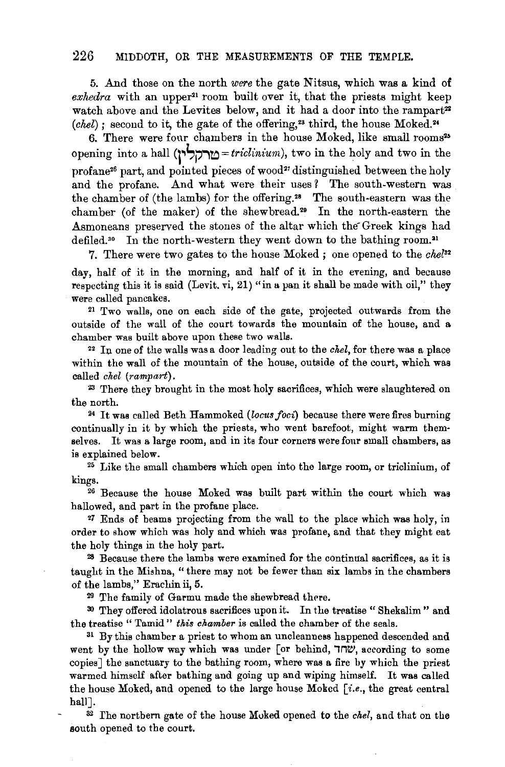5. And those on the north *were* the gate Nitsus, which was a kind of  $exhedra$  with an upper<sup>21</sup> room built over it, that the priests might keep watch above and the Levites below, and it had a door into the rampart<sup>22</sup> *(chel)*; second to it, the gate of the offering,<sup>23</sup> third, the house Moked.<sup>24</sup>

6. There were four chambers in the house Moked, like small rooms<sup>25</sup> opening into a hall **q.,t,j?""'to** = *tricliniurn),* two in the holy and two in the profane<sup>26</sup> part, and pointed pieces of wood<sup>27</sup> distinguished between the holy and the profane. And what were their uses? The south-western was the chamber of (the lambs) for the offering.<sup>28</sup> The south-eastern was the chamber (of the maker) of the shewbread.<sup>29</sup> In the north-eastern the Asmoneans preserved the stones of the altar which the Greek kings had defiled.<sup>30</sup> In the north-western they went down to the bathing room.<sup>31</sup>

7. There were two gates to the house Moked ; one opened to the *chel32*  day, half of it in the morning, and half of it in the evening, and because respecting this it is said (Levit. vi, 21) "in a pan it shall be made with oil," they were called pancakes.

2! Two walls, one on each side of the gate, projected outwards from the outside of the wall of the court towards the mountain of the house, and a chamber was built above upon these two walls.

<sup>22</sup> In one of the walls was a door leading out to the *chel*, for there was a place within the wall of the mountain of the house, outside of the court, which was called *chel (rampart).* 

<sup>23</sup>'fhere they brought in the most holy sacrifices, which were slaughtered on the north.

24 It was called Beth Hammoked *(locus foci)* because there were fires burning continually in it by which the priests, who went barefoot, might warm themselves. It was a large room, and in its four corners were four small chambers, as

is explained below. 25 Like the small chambers which open into the large room, or triclinium, of kings. 26 Because the house Moked was built part within the court which was

hallowed, and part in the profane place.

<sup>2</sup>7 Ends of beams projecting from the wall to the place which was holy, in order to show which was holy and which was profane, and that they might eat the holy things in the holy part.

 $28$  Because there the lambs were examined for the continual sacrifices, as it is taught in the Mishna, "there may not be fewer than six lambs in the chambers of the lambs," Erachin ii, 5.

<sup>29</sup> The family of Garmu made the shewbread there.

30 They offered idolatrous sacrifices upon it. In the treatise "Shekalim" and the treatise " Tamid" *this chamber* is called the chamber of the seals.

<sup>31</sup> By this chamber a priest to whom an uncleanness happened descended and went by the hollow way which was under [or behind,  $\nabla$ , according to some copies] the sanctuary to the bathing room, where was a fire by which the priest warmed himself after bathing and going up and wiping himself. It was called the house Moked, and opened to the large house Moked  $[i.e.,$  the great central hall].

32 rhe northern gate of the house Moked opened to the *chel,* and that on the south opened to the court.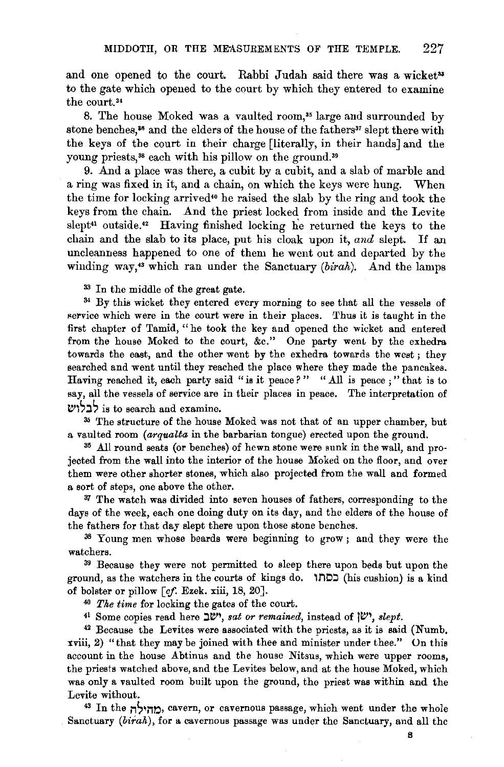and one opened to the court. Rabbi Judah said there was a wicket<sup>33</sup> to the gate which opened to the court by which they entered to examine the court.<sup>34</sup>

8. The house Moked was a vaulted room,<sup>35</sup> large and surrounded by stone benches,<sup>35</sup> and the elders of the house of the fathers<sup>37</sup> slept there with the keys of the court in their charge [literally, in their hands] and the young priests,<sup>38</sup> each with his pillow on the ground.<sup>39</sup>

9. And a place was there, a cubit by a cubit, and a slab of marble and a ring was fixed in it, and a chain, on which the keys were hung. When the time for locking arrived•• he raised the slab by the ring and took the keys from the chain. And the priest locked from inside and the Levite slept<sup>41</sup> outside.<sup>42</sup> Having finished locking he returned the keys to the chain and the slab to its place, put his cloak upon it, *and* slept. If an uncleanness happened to one of them he went out and departed by the winding way,<sup>43</sup> which ran under the Sanctuary (birah). And the lamps

<sup>33</sup> In the middle of the great gate.<br><sup>34</sup> By this wicket they entered every morning to see that all the vessels of service which were in the court were in their places. Thus it is taught in the first chapter of Tamid, "he took the key and opened the wicket and entered from the house Moked to the court, &c." One party went by the exhedra towards the east, and the other went by the exhedra towards the west ; they searched and went until they reached the place where they made the pancakes. Having reached it, each party said "is it peace?" "All is peace;" that is to say, all the vessels of service are in their places in peace. The interpretation of

 $t$ לבלוש: is to search and examine.<br>35 The structure of the house Moked was not that of an upper chamber, but a vaulted room *(arqualta* in the barbarian tongue) erected upon the ground.

<sup>35</sup> All round seats (or benches) of hewn stone were sunk in the wall, and projected from the wall into the interior of the house Moked on the floor, and over them were other shorter stones, which also projected from the wall and formed a sort of steps, one above the other.

<sup>37</sup> The watch was divided into seven houses of fathers, corresponding to the days of the week, each one doing duty on its day, and the elders of the house of the fathers for that day slept there upon those stone benches.

38 Young men whose beards were beginning to grow; and they were the watchers. 39 Because they were not permitted to sleep there upon beds but upon the

ground, as the watchers in the courts of kings do.  $1 \square 2$  (his cushion) is a kind of bolster or pillow [if. Ezek. xiii, 18, 20]. 40 *The time* for locking the gates of the court.

41 Some copies read here  $\mathbb{L}^{w}$ , *sat or remained*, instead of  $\mathbb{L}^{v}$ , *slept.* 

42 Because the Levites were associated with the priests, as it is said (Numb. xviii, 2) "that they may be joined with thee and minister under thee." On this account in the house Abtinus and the house Nitsus, which were upper rooms, the priests watched above, and the Levites below, and at the house Moked, which was only a vaulted room built upon the ground, the priest was within and the Levite without.<br><sup>43</sup> In the n<sup>1</sup>/<sub>n</sub><sub>2</sub>, cavern, or cavernous passage, which went under the whole

Sanctuary (birak), for a cavernous passage was under the Sanctuary, and all the

B